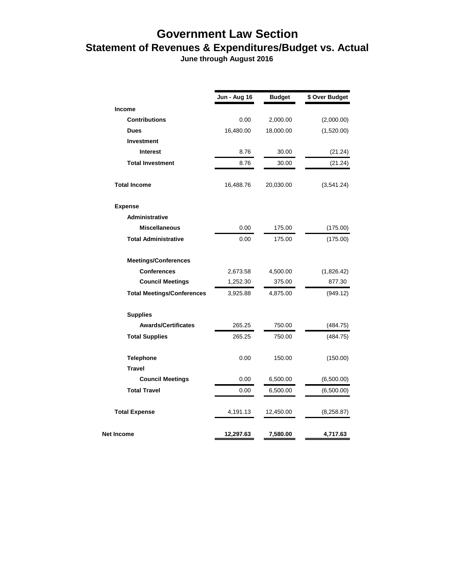## **Government Law Section Statement of Revenues & Expenditures/Budget vs. Actual**

 **June through August 2016**

|                                   | Jun - Aug 16 | <b>Budget</b> | \$ Over Budget |
|-----------------------------------|--------------|---------------|----------------|
| <b>Income</b>                     |              |               |                |
| <b>Contributions</b>              | 0.00         | 2,000.00      | (2,000.00)     |
| <b>Dues</b>                       | 16,480.00    | 18,000.00     | (1,520.00)     |
| <b>Investment</b>                 |              |               |                |
| <b>Interest</b>                   | 8.76         | 30.00         | (21.24)        |
| <b>Total Investment</b>           | 8.76         | 30.00         | (21.24)        |
| <b>Total Income</b>               | 16,488.76    | 20,030.00     | (3,541.24)     |
| <b>Expense</b>                    |              |               |                |
| <b>Administrative</b>             |              |               |                |
| <b>Miscellaneous</b>              | 0.00         | 175.00        | (175.00)       |
| <b>Total Administrative</b>       | 0.00         | 175.00        | (175.00)       |
| <b>Meetings/Conferences</b>       |              |               |                |
| <b>Conferences</b>                | 2,673.58     | 4,500.00      | (1,826.42)     |
| <b>Council Meetings</b>           | 1,252.30     | 375.00        | 877.30         |
| <b>Total Meetings/Conferences</b> | 3,925.88     | 4,875.00      | (949.12)       |
| <b>Supplies</b>                   |              |               |                |
| <b>Awards/Certificates</b>        | 265.25       | 750.00        | (484.75)       |
| <b>Total Supplies</b>             | 265.25       | 750.00        | (484.75)       |
| <b>Telephone</b>                  | 0.00         | 150.00        | (150.00)       |
| <b>Travel</b>                     |              |               |                |
| <b>Council Meetings</b>           | 0.00         | 6,500.00      | (6,500.00)     |
| <b>Total Travel</b>               | 0.00         | 6,500.00      | (6,500.00)     |
| <b>Total Expense</b>              | 4,191.13     | 12,450.00     | (8,258.87)     |
| Net Income                        | 12,297.63    | 7,580.00      | 4,717.63       |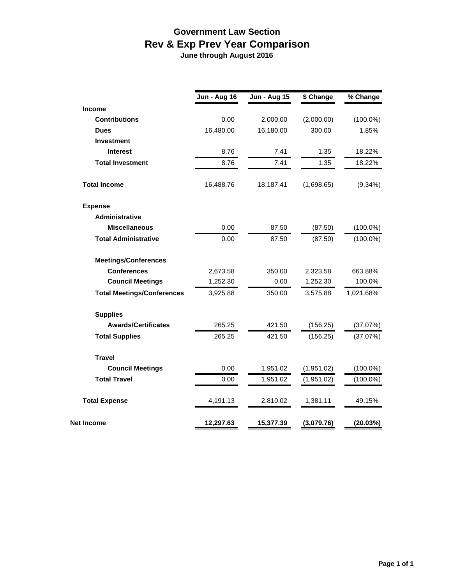## **Government Law Section Rev & Exp Prev Year Comparison**

 **June through August 2016**

|                                   | <b>Jun - Aug 16</b> | <b>Jun - Aug 15</b> | \$ Change  | % Change    |
|-----------------------------------|---------------------|---------------------|------------|-------------|
| <b>Income</b>                     |                     |                     |            |             |
| <b>Contributions</b>              | 0.00                | 2,000.00            | (2,000.00) | $(100.0\%)$ |
| <b>Dues</b>                       | 16,480.00           | 16,180.00           | 300.00     | 1.85%       |
| <b>Investment</b>                 |                     |                     |            |             |
| <b>Interest</b>                   | 8.76                | 7.41                | 1.35       | 18.22%      |
| <b>Total Investment</b>           | 8.76                | 7.41                | 1.35       | 18.22%      |
| <b>Total Income</b>               | 16,488.76           | 18,187.41           | (1,698.65) | $(9.34\%)$  |
| <b>Expense</b>                    |                     |                     |            |             |
| Administrative                    |                     |                     |            |             |
| <b>Miscellaneous</b>              | 0.00                | 87.50               | (87.50)    | $(100.0\%)$ |
| <b>Total Administrative</b>       | 0.00                | 87.50               | (87.50)    | $(100.0\%)$ |
| <b>Meetings/Conferences</b>       |                     |                     |            |             |
| <b>Conferences</b>                | 2,673.58            | 350.00              | 2,323.58   | 663.88%     |
| <b>Council Meetings</b>           | 1,252.30            | 0.00                | 1,252.30   | 100.0%      |
| <b>Total Meetings/Conferences</b> | 3,925.88            | 350.00              | 3,575.88   | 1,021.68%   |
| <b>Supplies</b>                   |                     |                     |            |             |
| <b>Awards/Certificates</b>        | 265.25              | 421.50              | (156.25)   | (37.07%)    |
| <b>Total Supplies</b>             | 265.25              | 421.50              | (156.25)   | (37.07%)    |
| <b>Travel</b>                     |                     |                     |            |             |
| <b>Council Meetings</b>           | 0.00                | 1,951.02            | (1,951.02) | $(100.0\%)$ |
| <b>Total Travel</b>               | 0.00                | 1,951.02            | (1,951.02) | $(100.0\%)$ |
| <b>Total Expense</b>              | 4,191.13            | 2,810.02            | 1,381.11   | 49.15%      |
| Net Income                        | 12,297.63           | 15,377.39           | (3,079.76) | (20.03%)    |